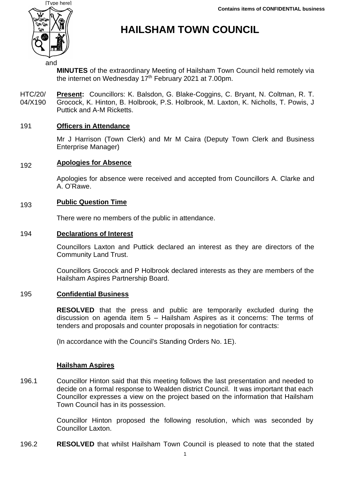

# **HAILSHAM TOWN COUNCIL**

**MINUTES** of the extraordinary Meeting of Hailsham Town Council held remotely via the internet on Wednesday 17<sup>th</sup> February 2021 at 7.00pm.

HTC/20/ 04/X190 **Present:** Councillors: K. Balsdon, G. Blake-Coggins, C. Bryant, N. Coltman, R. T. Grocock, K. Hinton, B. Holbrook, P.S. Holbrook, M. Laxton, K. Nicholls, T. Powis, J Puttick and A-M Ricketts.

#### 191 **Officers in Attendance**

Mr J Harrison (Town Clerk) and Mr M Caira (Deputy Town Clerk and Business Enterprise Manager)

### 192 **Apologies for Absence**

Apologies for absence were received and accepted from Councillors A. Clarke and A. O'Rawe.

### 193 **Public Question Time**

There were no members of the public in attendance.

### 194 **Declarations of Interest**

Councillors Laxton and Puttick declared an interest as they are directors of the Community Land Trust.

Councillors Grocock and P Holbrook declared interests as they are members of the Hailsham Aspires Partnership Board.

## 195 **Confidential Business**

**RESOLVED** that the press and public are temporarily excluded during the discussion on agenda item 5 – Hailsham Aspires as it concerns: The terms of tenders and proposals and counter proposals in negotiation for contracts:

(In accordance with the Council's Standing Orders No. 1E).

## **Hailsham Aspires**

196.1 Councillor Hinton said that this meeting follows the last presentation and needed to decide on a formal response to Wealden district Council. It was important that each Councillor expresses a view on the project based on the information that Hailsham Town Council has in its possession.

> Councillor Hinton proposed the following resolution, which was seconded by Councillor Laxton.

196.2 **RESOLVED** that whilst Hailsham Town Council is pleased to note that the stated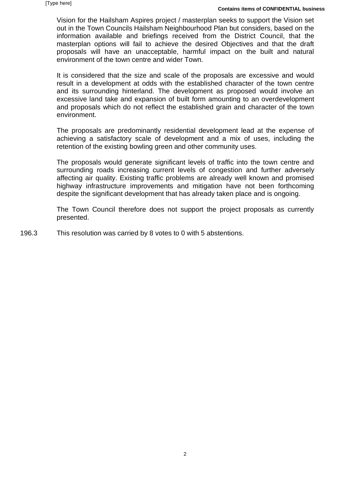Vision for the Hailsham Aspires project / masterplan seeks to support the Vision set out in the Town Councils Hailsham Neighbourhood Plan but considers, based on the information available and briefings received from the District Council, that the masterplan options will fail to achieve the desired Objectives and that the draft proposals will have an unacceptable, harmful impact on the built and natural environment of the town centre and wider Town.

It is considered that the size and scale of the proposals are excessive and would result in a development at odds with the established character of the town centre and its surrounding hinterland. The development as proposed would involve an excessive land take and expansion of built form amounting to an overdevelopment and proposals which do not reflect the established grain and character of the town environment.

The proposals are predominantly residential development lead at the expense of achieving a satisfactory scale of development and a mix of uses, including the retention of the existing bowling green and other community uses.

The proposals would generate significant levels of traffic into the town centre and surrounding roads increasing current levels of congestion and further adversely affecting air quality. Existing traffic problems are already well known and promised highway infrastructure improvements and mitigation have not been forthcoming despite the significant development that has already taken place and is ongoing.

The Town Council therefore does not support the project proposals as currently presented.

196.3 This resolution was carried by 8 votes to 0 with 5 abstentions.